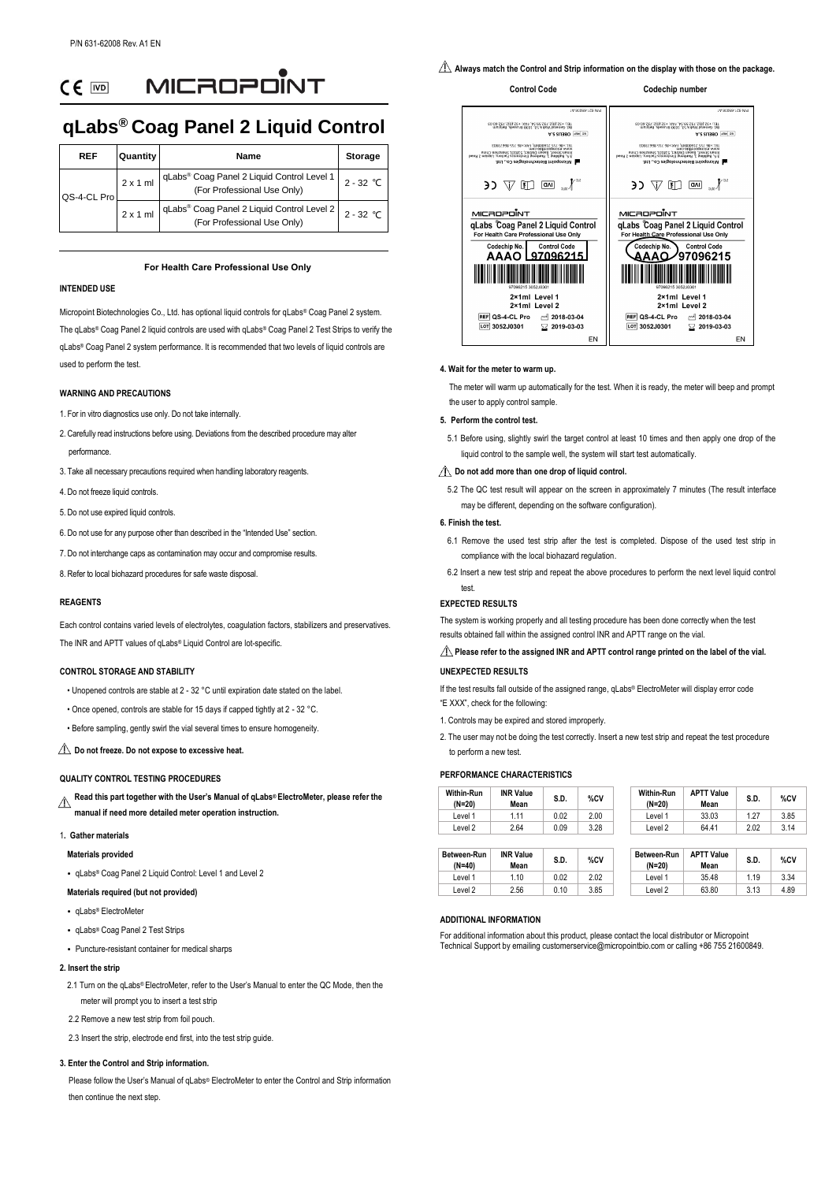MICROPONT  $CF$   $\overline{CD}$ 

# **qLabs® Coag Panel 2 Liquid Control**

| <b>REF</b>  | <b>Quantity</b> | Name                                                                                    | <b>Storage</b> |
|-------------|-----------------|-----------------------------------------------------------------------------------------|----------------|
| QS-4-CL Pro | $2 \times 1$ ml | qLabs® Coag Panel 2 Liquid Control Level 1  <br>(For Professional Use Only)             | $2 - 32$ °C    |
|             | $2 \times 1$ ml | qLabs <sup>®</sup> Coag Panel 2 Liquid Control Level 2  <br>(For Professional Use Only) | $2 - 32$ °C    |

# **For Health Care Professional Use Only**

# **INTENDED USE**

Micropoint Biotechnologies Co., Ltd. has optional liquid controls for qLabs® Coag Panel 2 system. The qLabs® Coag Panel 2 liquid controls are used with qLabs® Coag Panel 2 Test Strips to verify the qLabs® Coag Panel 2 system performance. It is recommended that two levels of liquid controls are used to perform the test.

## **WARNING AND PRECAUTIONS**

- 1. For in vitro diagnostics use only. Do not take internally.
- 2. Carefully read instructions before using. Deviations from the described procedure may alter performance.
- 3. Take all necessary precautions required when handling laboratory reagents.
- 4. Do not freeze liquid controls.
- 5. Do not use expired liquid controls.
- 6. Do not use for any purpose other than described in the "Intended Use" section.
- 7. Do not interchange caps as contamination may occur and compromise results.
- 8. Refer to local biohazard procedures for safe waste disposal.

#### **REAGENTS**

Each control contains varied levels of electrolytes, coagulation factors, stabilizers and preservatives. The INR and APTT values of qLabs® Liquid Control are lot-specific.

## **CONTROL STORAGE AND STABILITY**

- Unopened controls are stable at 2 32 ° C until expiration date stated on the label.
- Once opened, controls are stable for 15 days if capped tightly at 2 32 ° C.
- Before sampling, gently swirl the vial several times to ensure homogeneity.

# **Do not freeze. Do not expose to excessive heat.**

#### **QUALITY CONTROL TESTING PROCEDURES**

**Read this part together with the User's Manual of qLabs® ElectroMeter, please refer the**   $\triangle$ **manual if need more detailed meter operation instruction.**

## 1**. Gather materials**

#### **Materials provided**

• qLabs® Coag Panel 2 Liquid Control: Level 1 and Level 2

#### **Materials required (but not provided)**

- qLabs® ElectroMeter
- qLabs® Coag Panel 2 Test Strips
- Puncture-resistant container for medical sharps

#### **2. Insert the strip**

- 2.1 Turn on the gLabs® ElectroMeter, refer to the User's Manual to enter the QC Mode, then the meter will prompt you to insert a test strip
- 2.2 Remove a new test strip from foil pouch.

2.3 Insert the strip, electrode end first, into the test strip quide.

#### **3. Enter the Control and Strip information.**

Please follow the User's Manual of qLabs® ElectroMeter to enter the Control and Strip information then continue the next step.

**Always match the Control and Strip information on the display with those on the package.**

#### **Control Code Codechip number**



#### **4. Wait for the meter to warm up.**

 The meter will warm up automatically for the test. When it is ready, the meter will beep and prompt the user to apply control sample.

#### **5. Perform the control test.**

5.1 Before using, slightly swirl the target control at least 10 times and then apply one drop of the liquid control to the sample well, the system will start test automatically.

#### $\triangle$  Do not add more than one drop of liquid control.

5.2 The QC test result will appear on the screen in approximately 7 minutes (The result interface may be different, depending on the software configuration).

#### **6. Finish the test.**

- 6.1 Remove the used test strip after the test is completed. Dispose of the used test strip in compliance with the local biohazard regulation.
- 6.2 Insert a new test strip and repeat the above procedures to perform the next level liquid control test.

#### **EXPECTED RESULTS**

The system is working properly and all testing procedure has been done correctly when the test results obtained fall within the assigned control INR and APTT range on the vial.

# **Please refer to the assigned INR and APTT control range printed on the label of the vial.**

# **UNEXPECTED RESULTS**

If the test results fall outside of the assigned range, qLabs® ElectroMeter will display error code "E XXX", check for the following:

- 1. Controls may be expired and stored improperly.
- 2. The user may not be doing the test correctly. Insert a new test strip and repeat the test procedure to perform a new test.

# **PERFORMANCE CHARACTERISTICS**

| <b>Within-Run</b><br>(N=20) | <b>INR Value</b><br>Mean | S.D. | %CV  | <b>Within-Run</b><br>$(N=20)$ | <b>APTT Value</b><br>Mean | S.D. | %CV  |
|-----------------------------|--------------------------|------|------|-------------------------------|---------------------------|------|------|
| _evel 1                     | 1.11                     | 0.02 | 2.00 | ∟evel 1                       | 33.03                     | 1.27 | 3.85 |
| ∟evel 2                     | 2.64                     | 0.09 | 3.28 | Level 2                       | 64.41                     | 2.02 | 3.14 |

| Between-Run<br>$(N=40)$ | <b>INR Value</b><br>Mean | S.D. | %CV  | Between-Run<br>$(N=20)$ | <b>APTT Value</b><br>Mean | S.D. | %C   |
|-------------------------|--------------------------|------|------|-------------------------|---------------------------|------|------|
| Level 1                 | 1.10                     | 0.02 | 2.02 | _evel 1                 | 35.48                     | 1.19 | 3.34 |
| Level 2                 | 2.56                     | 0.10 | 3.85 | ∟evel 2                 | 63.80                     | 3.13 | 4.89 |

# **ADDITIONAL INFORMATION**

For additional information about this product, please contact the local distributor or Micropoint Technical Support by emailing customerservice@micropointbio.com or calling +86 755 21600849.